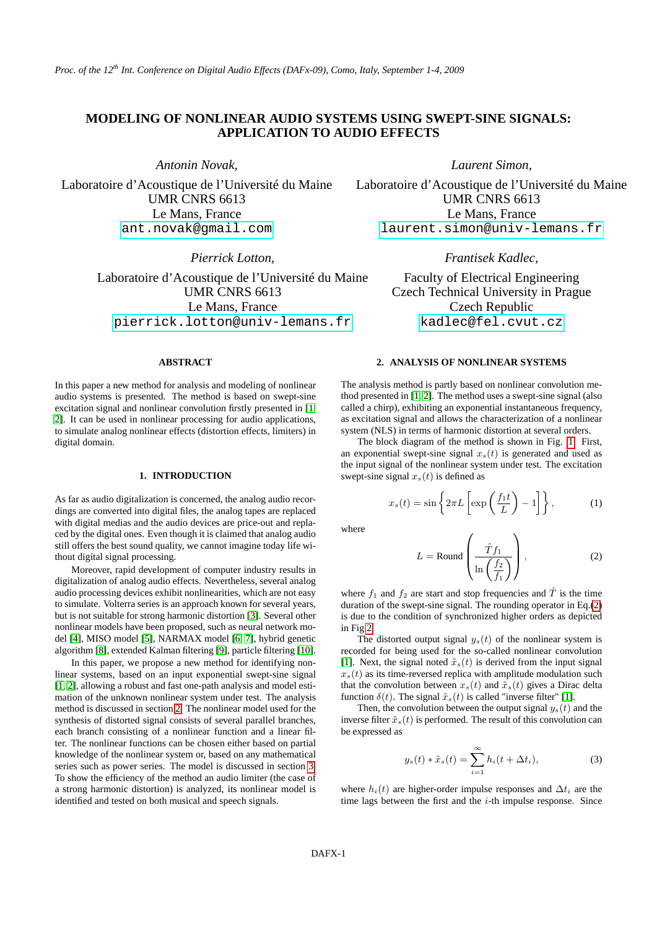# **MODELING OF NONLINEAR AUDIO SYSTEMS USING SWEPT-SINE SIGNALS: APPLICATION TO AUDIO EFFECTS**

*Antonin Novak,*

Laboratoire d'Acoustique de l'Université du Maine UMR CNRS 6613 Le Mans, France [ant.novak@gmail.com](mailto:ant.novak@gmail.com)

*Pierrick Lotton,*

Laboratoire d'Acoustique de l'Université du Maine UMR CNRS 6613 Le Mans, France [pierrick.lotton@univ-lemans.fr](mailto:pierrick.lotton@univ-lemans.fr)

# **ABSTRACT**

In this paper a new method for analysis and modeling of nonlinear audio systems is presented. The method is based on swept-sine excitation signal and nonlinear convolution firstly presented in [\[1,](#page-3-0) [2\]](#page-3-1). It can be used in nonlinear processing for audio applications, to simulate analog nonlinear effects (distortion effects, limiters) in digital domain.

# **1. INTRODUCTION**

As far as audio digitalization is concerned, the analog audio recordings are converted into digital files, the analog tapes are replaced with digital medias and the audio devices are price-out and replaced by the digital ones. Even though it is claimed that analog audio still offers the best sound quality, we cannot imagine today life without digital signal processing.

Moreover, rapid development of computer industry results in digitalization of analog audio effects. Nevertheless, several analog audio processing devices exhibit nonlinearities, which are not easy to simulate. Volterra series is an approach known for several years, but is not suitable for strong harmonic distortion [\[3\]](#page-3-2). Several other nonlinear models have been proposed, such as neural network model [\[4\]](#page-3-3), MISO model [\[5\]](#page-3-4), NARMAX model [\[6,](#page-3-5) [7\]](#page-3-6), hybrid genetic algorithm [\[8\]](#page-3-7), extended Kalman filtering [\[9\]](#page-3-8), particle filtering [\[10\]](#page-3-9).

In this paper, we propose a new method for identifying nonlinear systems, based on an input exponential swept-sine signal [\[1,](#page-3-0) [2\]](#page-3-1), allowing a robust and fast one-path analysis and model estimation of the unknown nonlinear system under test. The analysis method is discussed in section [2.](#page-0-0) The nonlinear model used for the synthesis of distorted signal consists of several parallel branches, each branch consisting of a nonlinear function and a linear filter. The nonlinear functions can be chosen either based on partial knowledge of the nonlinear system or, based on any mathematical series such as power series. The model is discussed in section [3.](#page-1-0) To show the efficiency of the method an audio limiter (the case of a strong harmonic distortion) is analyzed, its nonlinear model is identified and tested on both musical and speech signals.

*Laurent Simon,*

Laboratoire d'Acoustique de l'Université du Maine UMR CNRS 6613 Le Mans, France [laurent.simon@univ-lemans.fr](mailto:laurent.simon@univ-lemans.fr)

*Frantisek Kadlec,*

Faculty of Electrical Engineering Czech Technical University in Prague Czech Republic [kadlec@fel.cvut.cz](mailto:kadlec@fel.cvut.cz)

## **2. ANALYSIS OF NONLINEAR SYSTEMS**

<span id="page-0-0"></span>The analysis method is partly based on nonlinear convolution method presented in [\[1,](#page-3-0) [2\]](#page-3-1). The method uses a swept-sine signal (also called a chirp), exhibiting an exponential instantaneous frequency, as excitation signal and allows the characterization of a nonlinear system (NLS) in terms of harmonic distortion at several orders.

The block diagram of the method is shown in Fig. [1.](#page-1-1) First, an exponential swept-sine signal  $x<sub>s</sub>(t)$  is generated and used as the input signal of the nonlinear system under test. The excitation swept-sine signal  $x_s(t)$  is defined as

$$
x_s(t) = \sin\left\{2\pi L \left[\exp\left(\frac{f_1 t}{L}\right) - 1\right]\right\},\tag{1}
$$

where

<span id="page-0-1"></span>
$$
L = \text{Round}\left(\frac{\hat{T}f_1}{\ln\left(\frac{f_2}{f_1}\right)}\right),\tag{2}
$$

where  $f_1$  and  $f_2$  are start and stop frequencies and  $\hat{T}$  is the time duration of the swept-sine signal. The rounding operator in Eq.[\(2\)](#page-0-1) is due to the condition of synchronized higher orders as depicted in Fig[.2.](#page-1-2)

The distorted output signal  $y_s(t)$  of the nonlinear system is recorded for being used for the so-called nonlinear convolution [\[1\]](#page-3-0). Next, the signal noted  $\tilde{x}_s(t)$  is derived from the input signal  $x<sub>s</sub>(t)$  as its time-reversed replica with amplitude modulation such that the convolution between  $x_s(t)$  and  $\tilde{x}_s(t)$  gives a Dirac delta function  $\delta(t)$ . The signal  $\tilde{x}_s(t)$  is called "inverse filter" [\[1\]](#page-3-0).

Then, the convolution between the output signal  $y_s(t)$  and the inverse filter  $\tilde{x}_s(t)$  is performed. The result of this convolution can be expressed as

$$
y_s(t) * \tilde{x}_s(t) = \sum_{i=1}^{\infty} h_i(t + \Delta t_i), \tag{3}
$$

where  $h_i(t)$  are higher-order impulse responses and  $\Delta t_i$  are the time lags between the first and the  $i$ -th impulse response. Since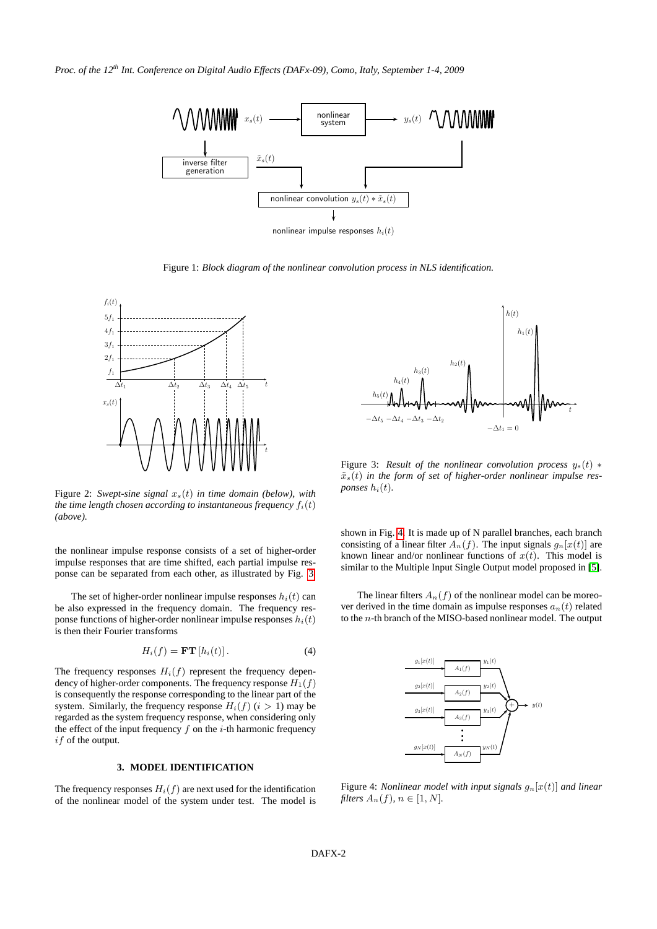*Proc. of the 12th Int. Conference on Digital Audio Effects (DAFx-09), Como, Italy, September 1-4, 2009*



nonlinear impulse responses  $h_i(t)$ 

<span id="page-1-1"></span>Figure 1: *Block diagram of the nonlinear convolution process in NLS identification.*



<span id="page-1-2"></span>Figure 2: *Swept-sine signal*  $x_s(t)$  *in time domain (below), with the time length chosen according to instantaneous frequency*  $f_i(t)$ *(above).*

the nonlinear impulse response consists of a set of higher-order impulse responses that are time shifted, each partial impulse response can be separated from each other, as illustrated by Fig. [3.](#page-1-3)

The set of higher-order nonlinear impulse responses  $h_i(t)$  can be also expressed in the frequency domain. The frequency response functions of higher-order nonlinear impulse responses  $h_i(t)$ is then their Fourier transforms

$$
H_i(f) = \mathbf{FT}[h_i(t)]. \tag{4}
$$

The frequency responses  $H_i(f)$  represent the frequency dependency of higher-order components. The frequency response  $H_1(f)$ is consequently the response corresponding to the linear part of the system. Similarly, the frequency response  $H_i(f)$   $(i > 1)$  may be regarded as the system frequency response, when considering only the effect of the input frequency  $f$  on the  $i$ -th harmonic frequency if of the output.

#### **3. MODEL IDENTIFICATION**

<span id="page-1-0"></span>The frequency responses  $H_i(f)$  are next used for the identification of the nonlinear model of the system under test. The model is



<span id="page-1-3"></span>Figure 3: *Result of the nonlinear convolution process*  $y_s(t)$   $*$  $\tilde{x}_s(t)$  in the form of set of higher-order nonlinear impulse res*ponses*  $h_i(t)$ *.* 

shown in Fig. [4.](#page-1-4) It is made up of N parallel branches, each branch consisting of a linear filter  $A_n(f)$ . The input signals  $g_n[x(t)]$  are known linear and/or nonlinear functions of  $x(t)$ . This model is similar to the Multiple Input Single Output model proposed in [\[5\]](#page-3-4).

The linear filters  $A_n(f)$  of the nonlinear model can be moreover derived in the time domain as impulse responses  $a_n(t)$  related to the n-th branch of the MISO-based nonlinear model. The output



<span id="page-1-4"></span>Figure 4: *Nonlinear model with input signals*  $g_n[x(t)]$  *and linear filters*  $A_n(f)$ ,  $n \in [1, N]$ .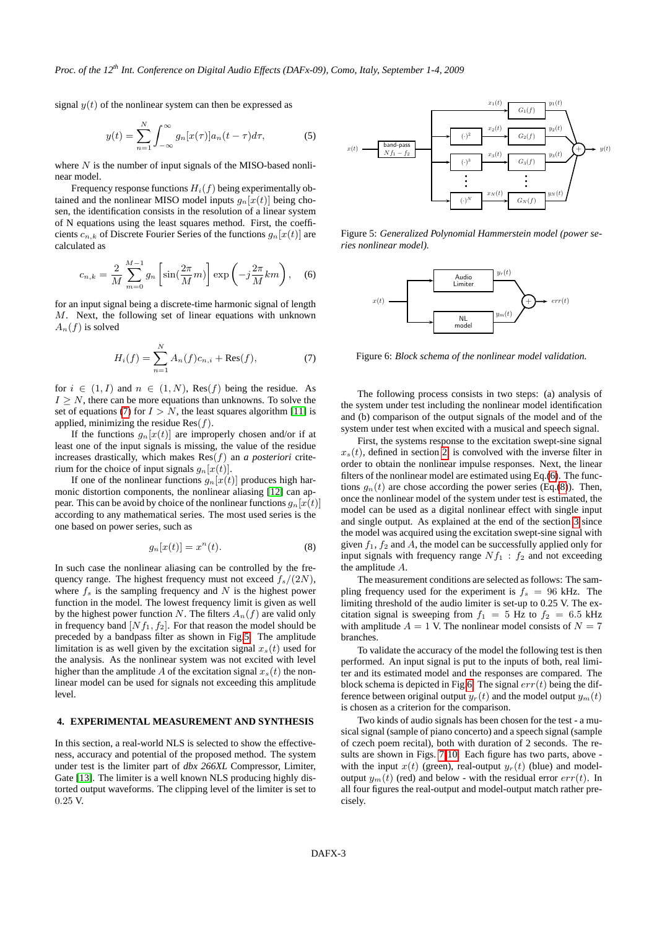*Proc. of the 12th Int. Conference on Digital Audio Effects (DAFx-09), Como, Italy, September 1-4, 2009*

signal  $y(t)$  of the nonlinear system can then be expressed as

$$
y(t) = \sum_{n=1}^{N} \int_{-\infty}^{\infty} g_n[x(\tau)] a_n(t - \tau) d\tau,
$$
 (5)

where  $N$  is the number of input signals of the MISO-based nonlinear model.

Frequency response functions  $H_i(f)$  being experimentally obtained and the nonlinear MISO model inputs  $g_n[x(t)]$  being chosen, the identification consists in the resolution of a linear system of N equations using the least squares method. First, the coefficients  $c_{n,k}$  of Discrete Fourier Series of the functions  $g_n[x(t)]$  are calculated as

<span id="page-2-2"></span>
$$
c_{n,k} = \frac{2}{M} \sum_{m=0}^{M-1} g_n \left[ \sin(\frac{2\pi}{M}m) \right] \exp\left(-j\frac{2\pi}{M}km\right), \quad (6)
$$

for an input signal being a discrete-time harmonic signal of length M. Next, the following set of linear equations with unknown  $A_n(f)$  is solved

<span id="page-2-0"></span>
$$
H_i(f) = \sum_{n=1}^{N} A_n(f)c_{n,i} + \text{Res}(f),
$$
 (7)

for  $i \in (1, I)$  and  $n \in (1, N)$ , Res(f) being the residue. As  $I \geq N$ , there can be more equations than unknowns. To solve the set of equations [\(7\)](#page-2-0) for  $I > N$ , the least squares algorithm [\[11\]](#page-3-10) is applied, minimizing the residue  $\text{Res}(f)$ .

If the functions  $g_n[x(t)]$  are improperly chosen and/or if at least one of the input signals is missing, the value of the residue increases drastically, which makes Res(f) an *a posteriori* criterium for the choice of input signals  $g_n[x(t)]$ .

If one of the nonlinear functions  $g_n(x(t))$  produces high harmonic distortion components, the nonlinear aliasing [\[12\]](#page-3-11) can appear. This can be avoid by choice of the nonlinear functions  $q_n[x(t)]$ according to any mathematical series. The most used series is the one based on power series, such as

<span id="page-2-3"></span>
$$
g_n[x(t)] = x^n(t). \tag{8}
$$

In such case the nonlinear aliasing can be controlled by the frequency range. The highest frequency must not exceed  $f_s/(2N)$ , where  $f_s$  is the sampling frequency and N is the highest power function in the model. The lowest frequency limit is given as well by the highest power function N. The filters  $A_n(f)$  are valid only in frequency band  $[Nf_1, f_2]$ . For that reason the model should be preceded by a bandpass filter as shown in Fig[.5.](#page-2-1) The amplitude limitation is as well given by the excitation signal  $x<sub>s</sub>(t)$  used for the analysis. As the nonlinear system was not excited with level higher than the amplitude A of the excitation signal  $x<sub>s</sub>(t)$  the nonlinear model can be used for signals not exceeding this amplitude level.

# **4. EXPERIMENTAL MEASUREMENT AND SYNTHESIS**

In this section, a real-world NLS is selected to show the effectiveness, accuracy and potential of the proposed method. The system under test is the limiter part of *dbx 266XL* Compressor, Limiter, Gate [\[13\]](#page-3-12). The limiter is a well known NLS producing highly distorted output waveforms. The clipping level of the limiter is set to 0.25 V.



<span id="page-2-1"></span>Figure 5: *Generalized Polynomial Hammerstein model (power series nonlinear model).*



<span id="page-2-4"></span>Figure 6: *Block schema of the nonlinear model validation.*

The following process consists in two steps: (a) analysis of the system under test including the nonlinear model identification and (b) comparison of the output signals of the model and of the system under test when excited with a musical and speech signal.

First, the systems response to the excitation swept-sine signal  $x<sub>s</sub>(t)$ , defined in section [2,](#page-0-0) is convolved with the inverse filter in order to obtain the nonlinear impulse responses. Next, the linear filters of the nonlinear model are estimated using Eq.[\(6\)](#page-2-2). The functions  $g_n(t)$  are chose according the power series (Eq.[\(8\)](#page-2-3)). Then, once the nonlinear model of the system under test is estimated, the model can be used as a digital nonlinear effect with single input and single output. As explained at the end of the section [3](#page-1-0) since the model was acquired using the excitation swept-sine signal with given  $f_1$ ,  $f_2$  and A, the model can be successfully applied only for input signals with frequency range  $Nf_1$ :  $f_2$  and not exceeding the amplitude A.

The measurement conditions are selected as follows: The sampling frequency used for the experiment is  $f_s = 96$  kHz. The limiting threshold of the audio limiter is set-up to 0.25 V. The excitation signal is sweeping from  $f_1 = 5$  Hz to  $f_2 = 6.5$  kHz with amplitude  $A = 1$  V. The nonlinear model consists of  $N = 7$ branches.

To validate the accuracy of the model the following test is then performed. An input signal is put to the inputs of both, real limiter and its estimated model and the responses are compared. The block schema is depicted in Fig[.6.](#page-2-4) The signal  $err(t)$  being the difference between original output  $y_r(t)$  and the model output  $y_m(t)$ is chosen as a criterion for the comparison.

Two kinds of audio signals has been chosen for the test - a musical signal (sample of piano concerto) and a speech signal (sample of czech poem recital), both with duration of 2 seconds. The results are shown in Figs. [7-](#page-4-0)[10.](#page-5-0) Each figure has two parts, above with the input  $x(t)$  (green), real-output  $y_r(t)$  (blue) and modeloutput  $y_m(t)$  (red) and below - with the residual error  $err(t)$ . In all four figures the real-output and model-output match rather precisely.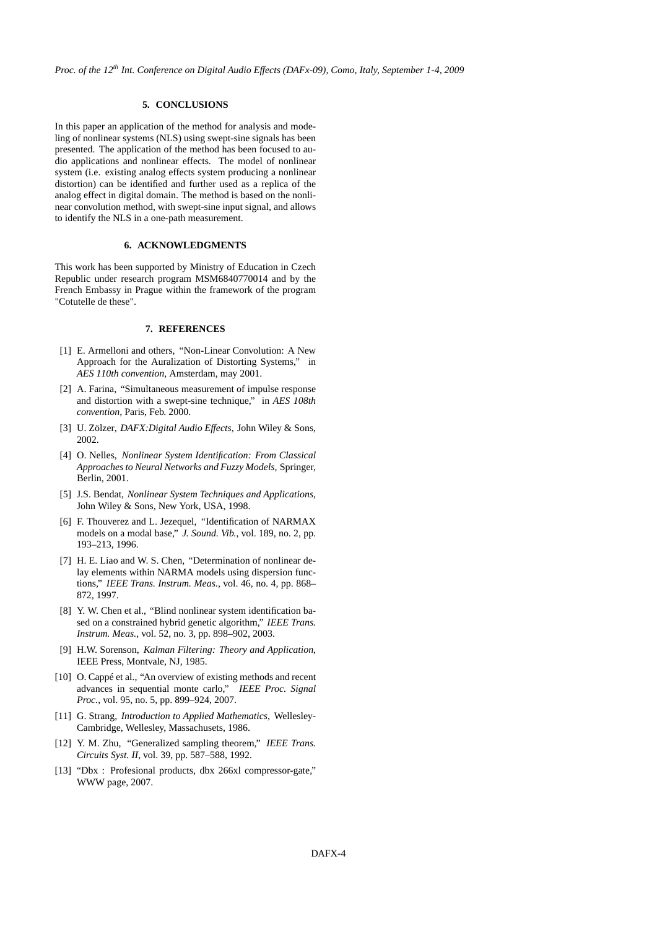# **5. CONCLUSIONS**

In this paper an application of the method for analysis and modeling of nonlinear systems (NLS) using swept-sine signals has been presented. The application of the method has been focused to audio applications and nonlinear effects. The model of nonlinear system (i.e. existing analog effects system producing a nonlinear distortion) can be identified and further used as a replica of the analog effect in digital domain. The method is based on the nonlinear convolution method, with swept-sine input signal, and allows to identify the NLS in a one-path measurement.

## **6. ACKNOWLEDGMENTS**

This work has been supported by Ministry of Education in Czech Republic under research program MSM6840770014 and by the French Embassy in Prague within the framework of the program "Cotutelle de these".

# **7. REFERENCES**

- <span id="page-3-0"></span>[1] E. Armelloni and others, "Non-Linear Convolution: A New Approach for the Auralization of Distorting Systems," in *AES 110th convention*, Amsterdam, may 2001.
- <span id="page-3-1"></span>[2] A. Farina, "Simultaneous measurement of impulse response and distortion with a swept-sine technique," in *AES 108th convention*, Paris, Feb. 2000.
- <span id="page-3-2"></span>[3] U. Zölzer, *DAFX:Digital Audio Effects*, John Wiley & Sons, 2002.
- <span id="page-3-3"></span>[4] O. Nelles, *Nonlinear System Identification: From Classical Approaches to Neural Networks and Fuzzy Models*, Springer, Berlin, 2001.
- <span id="page-3-4"></span>[5] J.S. Bendat, *Nonlinear System Techniques and Applications*, John Wiley & Sons, New York, USA, 1998.
- <span id="page-3-5"></span>[6] F. Thouverez and L. Jezequel, "Identification of NARMAX models on a modal base," *J. Sound. Vib.*, vol. 189, no. 2, pp. 193–213, 1996.
- <span id="page-3-6"></span>[7] H. E. Liao and W. S. Chen, "Determination of nonlinear delay elements within NARMA models using dispersion functions," *IEEE Trans. Instrum. Meas.*, vol. 46, no. 4, pp. 868– 872, 1997.
- <span id="page-3-7"></span>[8] Y. W. Chen et al., "Blind nonlinear system identification based on a constrained hybrid genetic algorithm," *IEEE Trans. Instrum. Meas.*, vol. 52, no. 3, pp. 898–902, 2003.
- <span id="page-3-8"></span>[9] H.W. Sorenson, *Kalman Filtering: Theory and Application*, IEEE Press, Montvale, NJ, 1985.
- <span id="page-3-9"></span>[10] O. Cappé et al., "An overview of existing methods and recent advances in sequential monte carlo," *IEEE Proc. Signal Proc.*, vol. 95, no. 5, pp. 899–924, 2007.
- <span id="page-3-10"></span>[11] G. Strang, *Introduction to Applied Mathematics*, Wellesley-Cambridge, Wellesley, Massachusets, 1986.
- <span id="page-3-11"></span>[12] Y. M. Zhu, "Generalized sampling theorem," *IEEE Trans. Circuits Syst. II*, vol. 39, pp. 587–588, 1992.
- <span id="page-3-12"></span>[13] "Dbx : Profesional products, dbx 266xl compressor-gate," WWW page, 2007.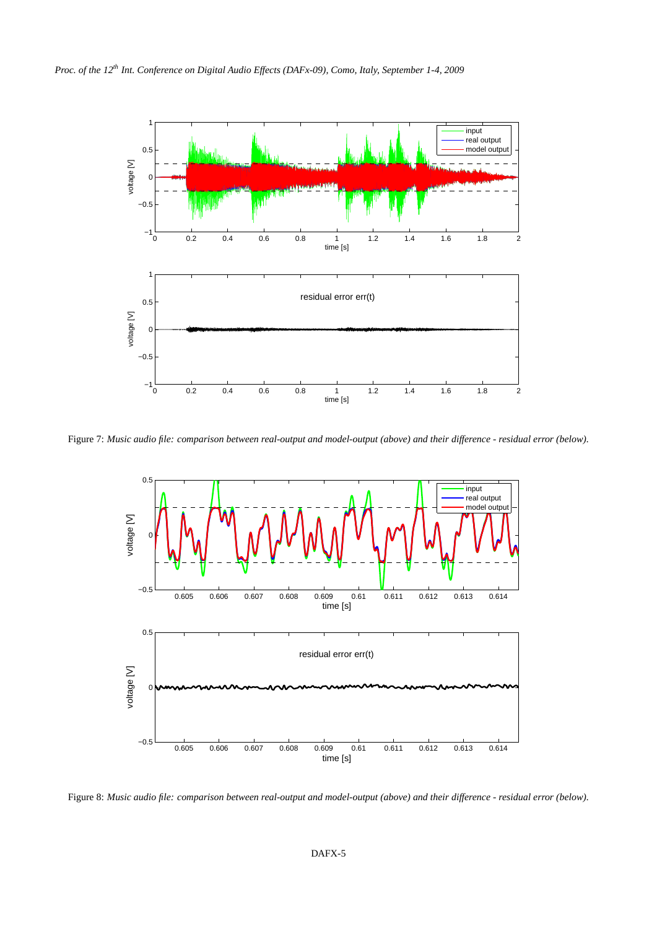

Figure 7: *Music audio file: comparison between real-output and model-output (above) and their difference - residual error (below).*

<span id="page-4-0"></span>

Figure 8: *Music audio file: comparison between real-output and model-output (above) and their difference - residual error (below).*